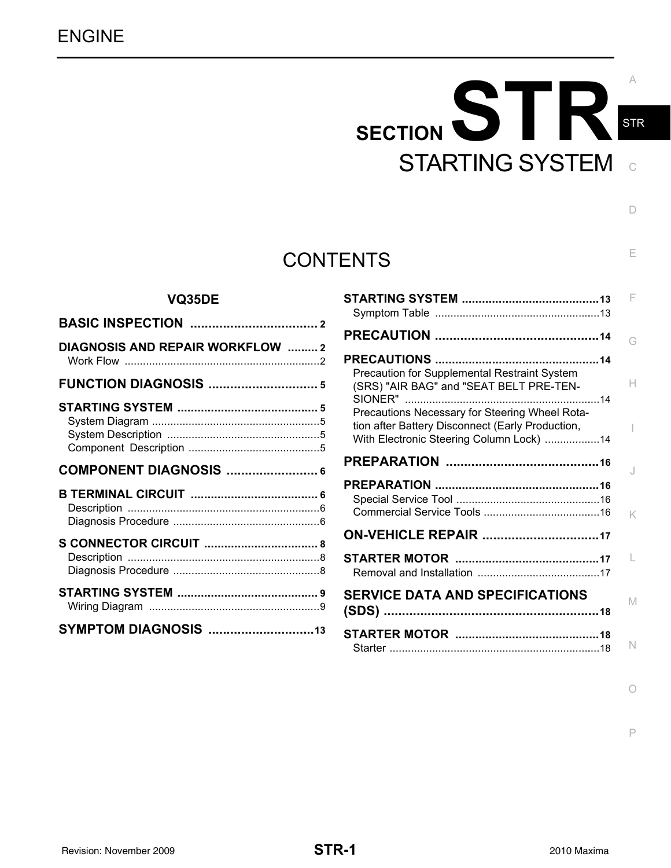# STARTING SYSTEM **c** SECTION STR

# **CONTENTS**

### **VQ35DE**

| <b>DIAGNOSIS AND REPAIR WORKFLOW 2</b> |  |
|----------------------------------------|--|
|                                        |  |
|                                        |  |
|                                        |  |
|                                        |  |
|                                        |  |
|                                        |  |
|                                        |  |
|                                        |  |

|                                                                                                                                                                                                                                           | F |
|-------------------------------------------------------------------------------------------------------------------------------------------------------------------------------------------------------------------------------------------|---|
|                                                                                                                                                                                                                                           | G |
| Precaution for Supplemental Restraint System<br>(SRS) "AIR BAG" and "SEAT BELT PRE-TEN-<br>Precautions Necessary for Steering Wheel Rota-<br>tion after Battery Disconnect (Early Production,<br>With Electronic Steering Column Lock) 14 | н |
|                                                                                                                                                                                                                                           | J |
|                                                                                                                                                                                                                                           | K |
| <b>ON-VEHICLE REPAIR 17</b>                                                                                                                                                                                                               |   |
|                                                                                                                                                                                                                                           | Н |
| <b>SERVICE DATA AND SPECIFICATIONS</b>                                                                                                                                                                                                    | M |
|                                                                                                                                                                                                                                           | N |

P

 $\Box$ 

STR

E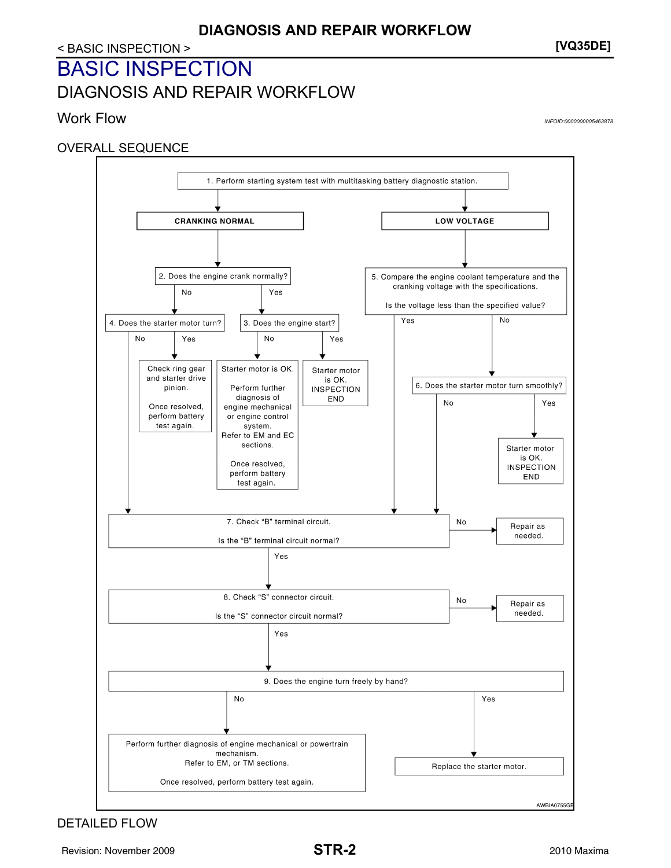# <span id="page-1-1"></span><span id="page-1-0"></span>BASIC INSPECTION DIAGNOSIS AND REPAIR WORKFLOW

### <span id="page-1-2"></span>Work Flow *INFOID:0000000005463878*

# OVERALL SEQUENCE



### DETAILED FLOW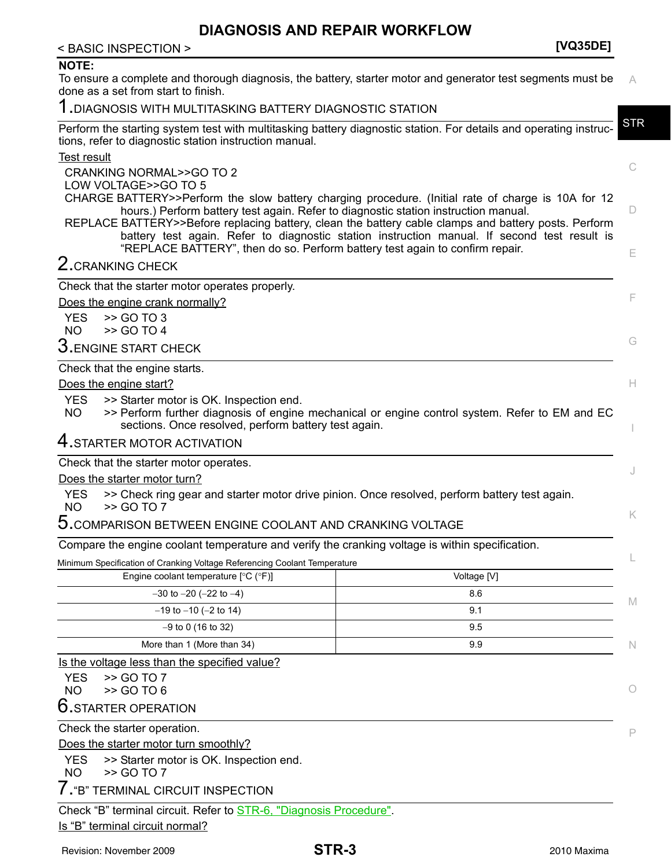# **DIAGNOSIS AND REPAIR WORKFLOW**

| < BASIC INSPECTION >                                                                                                                                                                                                                                                                                                                                                              | [VQ35DE]                                                                                       |
|-----------------------------------------------------------------------------------------------------------------------------------------------------------------------------------------------------------------------------------------------------------------------------------------------------------------------------------------------------------------------------------|------------------------------------------------------------------------------------------------|
| <b>NOTE:</b><br>To ensure a complete and thorough diagnosis, the battery, starter motor and generator test segments must be<br>done as a set from start to finish.                                                                                                                                                                                                                |                                                                                                |
| 1. DIAGNOSIS WITH MULTITASKING BATTERY DIAGNOSTIC STATION                                                                                                                                                                                                                                                                                                                         |                                                                                                |
| Perform the starting system test with multitasking battery diagnostic station. For details and operating instruc-<br>tions, refer to diagnostic station instruction manual.                                                                                                                                                                                                       | <b>STR</b>                                                                                     |
| <b>Test result</b><br><b>CRANKING NORMAL&gt;&gt;GO TO 2</b><br>LOW VOLTAGE>>GO TO 5                                                                                                                                                                                                                                                                                               |                                                                                                |
| CHARGE BATTERY>>Perform the slow battery charging procedure. (Initial rate of charge is 10A for 12<br>hours.) Perform battery test again. Refer to diagnostic station instruction manual.<br>REPLACE BATTERY>>Before replacing battery, clean the battery cable clamps and battery posts. Perform<br>"REPLACE BATTERY", then do so. Perform battery test again to confirm repair. | battery test again. Refer to diagnostic station instruction manual. If second test result is   |
| 2. CRANKING CHECK                                                                                                                                                                                                                                                                                                                                                                 |                                                                                                |
| Check that the starter motor operates properly.                                                                                                                                                                                                                                                                                                                                   |                                                                                                |
| Does the engine crank normally?                                                                                                                                                                                                                                                                                                                                                   |                                                                                                |
| >> GO TO 3<br><b>YES</b>                                                                                                                                                                                                                                                                                                                                                          |                                                                                                |
| <b>NO</b><br>>> GO TO 4<br>3. ENGINE START CHECK                                                                                                                                                                                                                                                                                                                                  |                                                                                                |
|                                                                                                                                                                                                                                                                                                                                                                                   |                                                                                                |
| Check that the engine starts.<br>Does the engine start?                                                                                                                                                                                                                                                                                                                           |                                                                                                |
| <b>YES</b><br>>> Starter motor is OK. Inspection end.<br><b>NO</b><br>sections. Once resolved, perform battery test again.                                                                                                                                                                                                                                                        | >> Perform further diagnosis of engine mechanical or engine control system. Refer to EM and EC |
| 4. STARTER MOTOR ACTIVATION                                                                                                                                                                                                                                                                                                                                                       |                                                                                                |
| Check that the starter motor operates.                                                                                                                                                                                                                                                                                                                                            |                                                                                                |
| Does the starter motor turn?                                                                                                                                                                                                                                                                                                                                                      |                                                                                                |
| >> Check ring gear and starter motor drive pinion. Once resolved, perform battery test again.<br><b>YES</b><br>>> GO TO 7<br><b>NO</b>                                                                                                                                                                                                                                            |                                                                                                |
| COMPARISON BETWEEN ENGINE COOLANT AND CRANKING VOLTAGE                                                                                                                                                                                                                                                                                                                            |                                                                                                |
| Compare the engine coolant temperature and verify the cranking voltage is within specification.                                                                                                                                                                                                                                                                                   |                                                                                                |
| Minimum Specification of Cranking Voltage Referencing Coolant Temperature                                                                                                                                                                                                                                                                                                         |                                                                                                |
| Engine coolant temperature [°C (°F)]                                                                                                                                                                                                                                                                                                                                              | Voltage [V]                                                                                    |
| $-30$ to $-20$ ( $-22$ to $-4$ )                                                                                                                                                                                                                                                                                                                                                  | 8.6                                                                                            |
| $-19$ to $-10$ ( $-2$ to 14)                                                                                                                                                                                                                                                                                                                                                      | M<br>9.1                                                                                       |
| $-9$ to 0 (16 to 32)                                                                                                                                                                                                                                                                                                                                                              | 9.5                                                                                            |
| More than 1 (More than 34)                                                                                                                                                                                                                                                                                                                                                        | 9.9                                                                                            |
| Is the voltage less than the specified value?                                                                                                                                                                                                                                                                                                                                     |                                                                                                |
| <b>YES</b><br>>> GO TO 7<br>>> GO TO 6<br><b>NO</b>                                                                                                                                                                                                                                                                                                                               |                                                                                                |
| $6.$ STARTER OPERATION                                                                                                                                                                                                                                                                                                                                                            |                                                                                                |
| Check the starter operation.                                                                                                                                                                                                                                                                                                                                                      |                                                                                                |
| Does the starter motor turn smoothly?                                                                                                                                                                                                                                                                                                                                             |                                                                                                |

YES >> Starter motor is OK. Inspection end.

$$
\begin{array}{cc} \text{NO} & \text{>> GO TO 7} \\ \end{array}
$$

7."B" TERMINAL CIRCUIT INSPECTION

Check "B" terminal circuit. Refer to [STR-6, "Diagnosis Procedure".](#page-5-3)

Is "B" terminal circuit normal?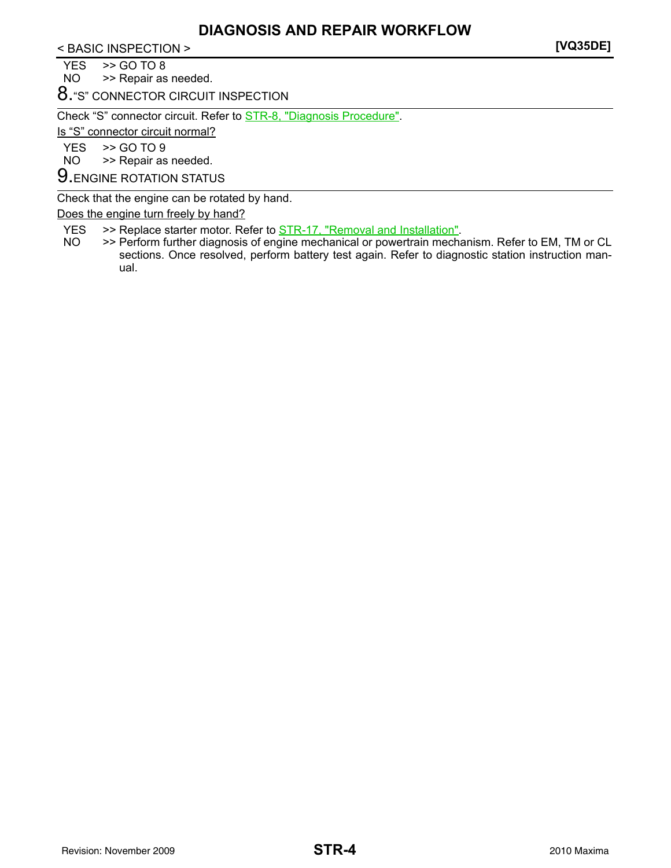< BASIC INSPECTION > **[VQ35DE]**

 $YES$   $>>$  GO TO 8<br>NO  $>>$  Repair as >> Repair as needed.

8."S" CONNECTOR CIRCUIT INSPECTION

Check "S" connector circuit. Refer to [STR-8, "Diagnosis Procedure"](#page-7-2).

Is "S" connector circuit normal?

YES >> GO TO 9<br>NO >> Repair as

>> Repair as needed.

9.ENGINE ROTATION STATUS

Check that the engine can be rotated by hand.

Does the engine turn freely by hand?

YES >> Replace starter motor. Refer to **[STR-17, "Removal and Installation"](#page-16-2)**.<br>NO >> Perform further diagnosis of engine mechanical or powertrain mecha

>> Perform further diagnosis of engine mechanical or powertrain mechanism. Refer to EM, TM or CL sections. Once resolved, perform battery test again. Refer to diagnostic station instruction manual.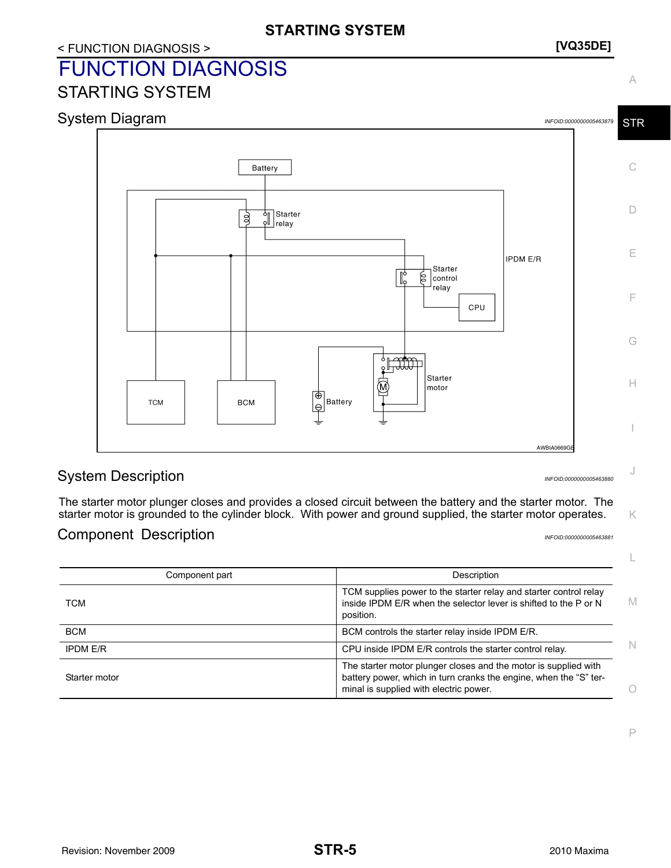# < FUNCTION DIAGNOSIS > **[VQ35DE]**

# <span id="page-4-1"></span><span id="page-4-0"></span>FUNCTION DIAGNOSIS STARTING SYSTEM

# <span id="page-4-2"></span>System Diagram *Integram INFOID:000000005463879*



# <span id="page-4-3"></span>System Description **Information** *INFOID:000000005463880*

The starter motor plunger closes and provides a closed circuit between the battery and the starter motor. The starter motor is grounded to the cylinder block. With power and ground supplied, the starter motor operates.

# <span id="page-4-4"></span>Component Description *INFOID:0000000005463881*

| Component part  | Description                                                                                                                                                                    |
|-----------------|--------------------------------------------------------------------------------------------------------------------------------------------------------------------------------|
| TCM             | TCM supplies power to the starter relay and starter control relay<br>inside IPDM E/R when the selector lever is shifted to the P or N<br>position.                             |
| <b>BCM</b>      | BCM controls the starter relay inside IPDM E/R.                                                                                                                                |
| <b>IPDM E/R</b> | CPU inside IPDM E/R controls the starter control relay.                                                                                                                        |
| Starter motor   | The starter motor plunger closes and the motor is supplied with<br>battery power, which in turn cranks the engine, when the "S" ter-<br>minal is supplied with electric power. |

J

K

L

A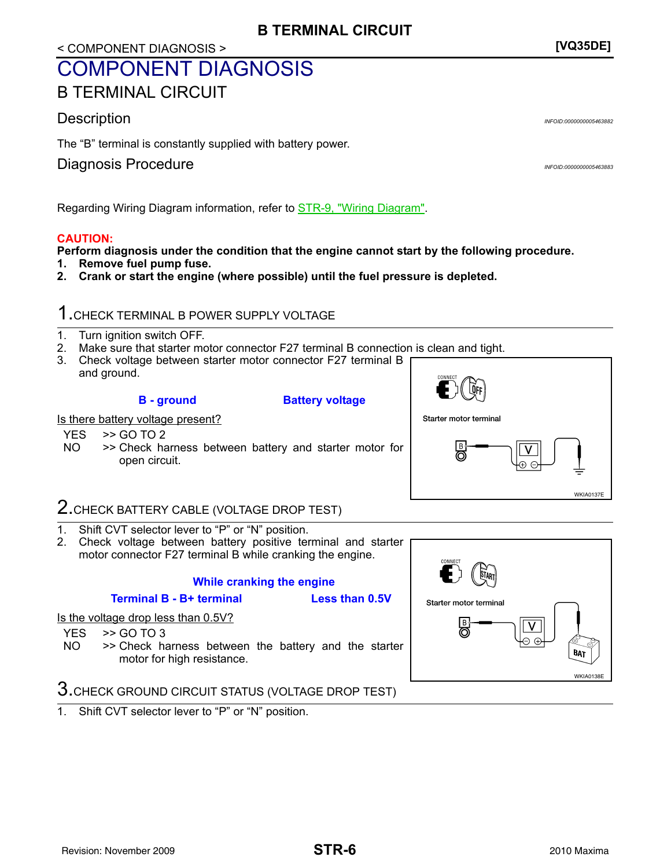### < COMPONENT DIAGNOSIS > **[VQ35DE]**

# <span id="page-5-0"></span>COMPONENT DIAGNOSIS

<span id="page-5-1"></span>B TERMINAL CIRCUIT

### <span id="page-5-2"></span>Description *INFOID:0000000005463882*

The "B" terminal is constantly supplied with battery power.

### <span id="page-5-3"></span>Diagnosis Procedure *INFOID:0000000005463883*

Regarding Wiring Diagram information, refer to **STR-9**, "Wiring Diagram".

### **CAUTION:**

**Perform diagnosis under the condition that the engine cannot start by the following procedure.**

- **1. Remove fuel pump fuse.**
- **2. Crank or start the engine (where possible) until the fuel pressure is depleted.**

# 1.CHECK TERMINAL B POWER SUPPLY VOLTAGE

- 1. Turn ignition switch OFF.
- 2. Make sure that starter motor connector F27 terminal B connection is clean and tight.
- 3. Check voltage between starter motor connector F27 terminal B and ground.

### **B - ground Battery voltage**

Is there battery voltage present?

- YES >> GO TO 2
- NO >> Check harness between battery and starter motor for open circuit.



# 2.CHECK BATTERY CABLE (VOLTAGE DROP TEST)

- 1. Shift CVT selector lever to "P" or "N" position.
- 2. Check voltage between battery positive terminal and starter motor connector F27 terminal B while cranking the engine.

### **While cranking the engine**

**Terminal B - B+ terminal Less than 0.5V**

Is the voltage drop less than 0.5V?

- YES >> GO TO 3
- NO >> Check harness between the battery and the starter motor for high resistance.



1. Shift CVT selector lever to "P" or "N" position.

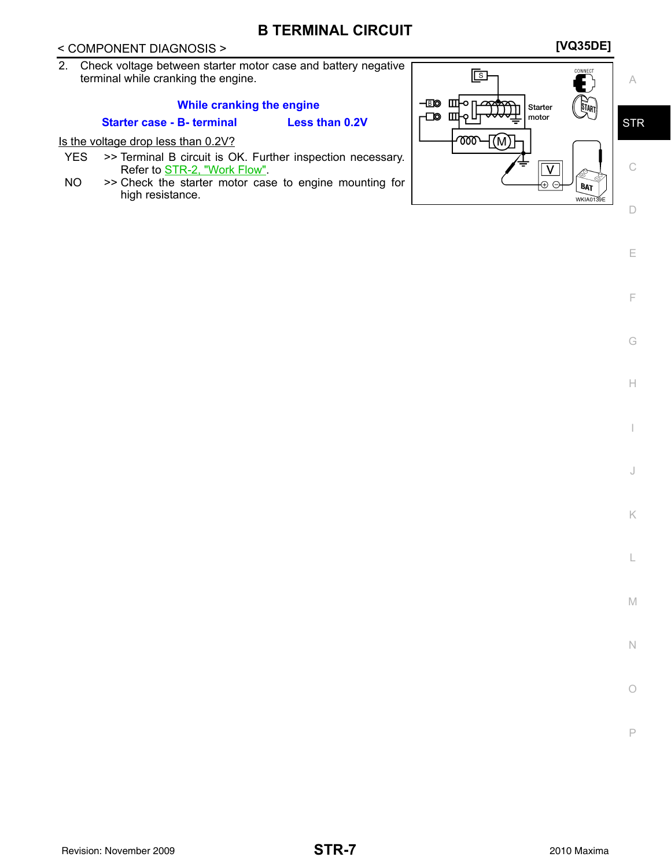# **B TERMINAL CIRCUIT**

# < COMPONENT DIAGNOSIS > **[VQ35DE]**

2. Check voltage between starter motor case and battery negative terminal while cranking the engine.

#### **While cranking the engine**

#### **Starter case - B- terminal Less than 0.2V**

#### Is the voltage drop less than 0.2V?

- YES >> Terminal B circuit is OK. Further inspection necessary. Refer to [STR-2, "Work Flow"](#page-1-2).
- NO >> Check the starter motor case to engine mounting for high resistance.



E

F

G

H

I

J

K

L

M

N

P

 $\bigcirc$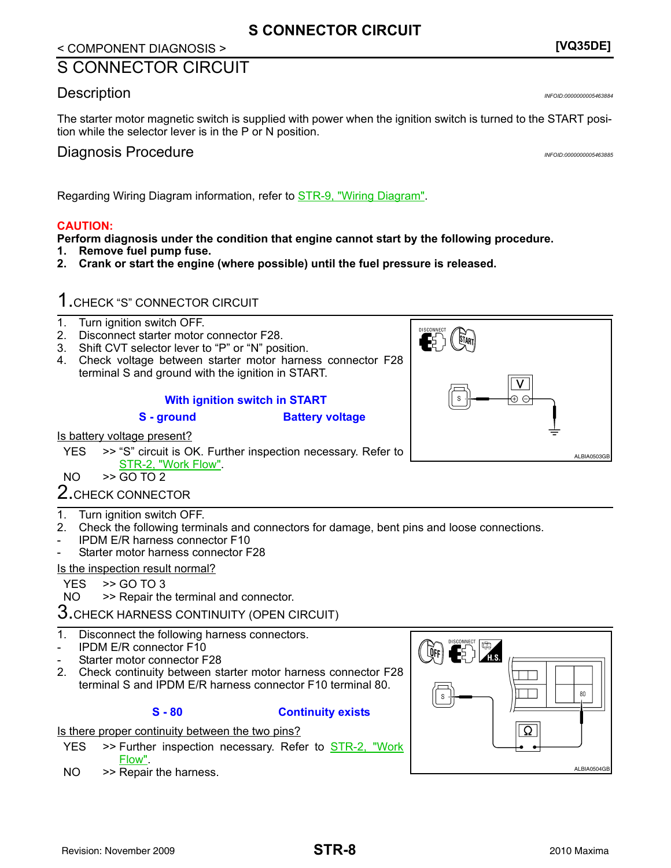# **S CONNECTOR CIRCUIT**

### < COMPONENT DIAGNOSIS > **[VQ35DE]**

# <span id="page-7-0"></span>S CONNECTOR CIRCUIT

# <span id="page-7-1"></span>Description *INFOID:0000000005463884*

The starter motor magnetic switch is supplied with power when the ignition switch is turned to the START position while the selector lever is in the P or N position.

# <span id="page-7-2"></span>Diagnosis Procedure *INFOID:0000000005463885*

Regarding Wiring Diagram information, refer to [STR-9, "Wiring Diagram".](#page-8-1)

### **CAUTION:**

**Perform diagnosis under the condition that engine cannot start by the following procedure.**

- **1. Remove fuel pump fuse.**
- **2. Crank or start the engine (where possible) until the fuel pressure is released.**

# 1.CHECK "S" CONNECTOR CIRCUIT

- 1. Turn ignition switch OFF.
- 2. Disconnect starter motor connector F28.
- 3. Shift CVT selector lever to "P" or "N" position.
- 4. Check voltage between starter motor harness connector F28 terminal S and ground with the ignition in START.

### **With ignition switch in START**

#### **S - ground Battery voltage**

### Is battery voltage present?

YES >> "S" circuit is OK. Further inspection necessary. Refer to [STR-2, "Work Flow".](#page-1-2)

 $NO \rightarrow$   $\overline{GOTO2}$ 

# 2. CHECK CONNECTOR

- 1. Turn ignition switch OFF.
- 2. Check the following terminals and connectors for damage, bent pins and loose connections.
- IPDM E/R harness connector F10
- Starter motor harness connector F28

### Is the inspection result normal?

- $YES$   $>>$  GO TO 3<br>NO  $>>$  Repair th
- >> Repair the terminal and connector.

# $3.$ CHECK HARNESS CONTINUITY (OPEN CIRCUIT)

- 1. Disconnect the following harness connectors.
- IPDM E/R connector F10
- Starter motor connector F28
- 2. Check continuity between starter motor harness connector F28 terminal S and IPDM E/R harness connector F10 terminal 80.

### **S - 80 Continuity exists**

Is there proper continuity between the two pins?

- YES >> Further inspection necessary. Refer to **[STR-2, "Work](#page-1-2)** [Flow".](#page-1-2)
- NO >> Repair the harness.



| DISCONNECT<br>$\mathbf{E}$<br><b>ISTART</b> |   |             |
|---------------------------------------------|---|-------------|
| S                                           | ⊊ |             |
|                                             |   | ALBIA0503GB |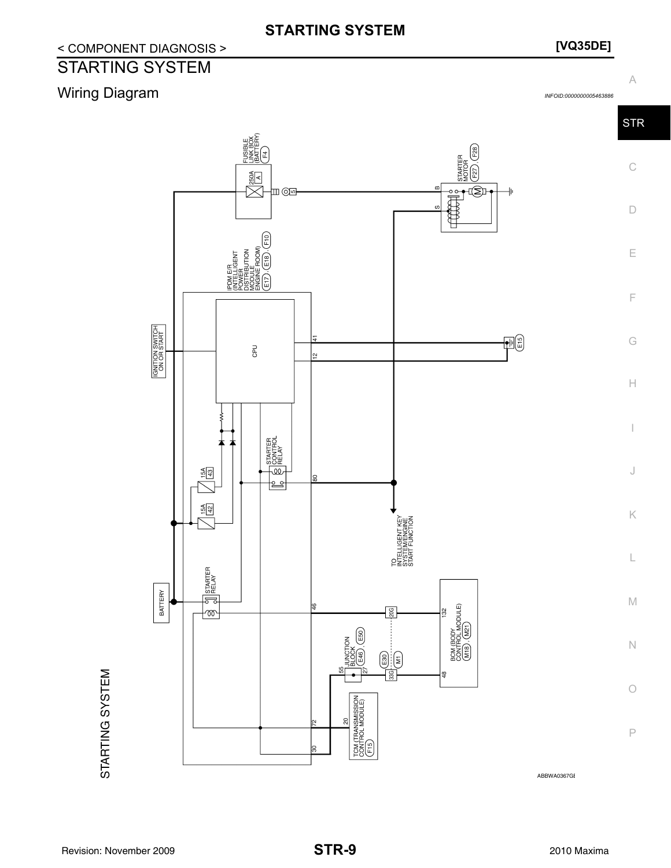# < COMPONENT DIAGNOSIS > **[VQ35DE]**

<span id="page-8-1"></span><span id="page-8-0"></span>

Revision: November 2009 **2010 Maxima 2010 Maxima 2010 Maxima**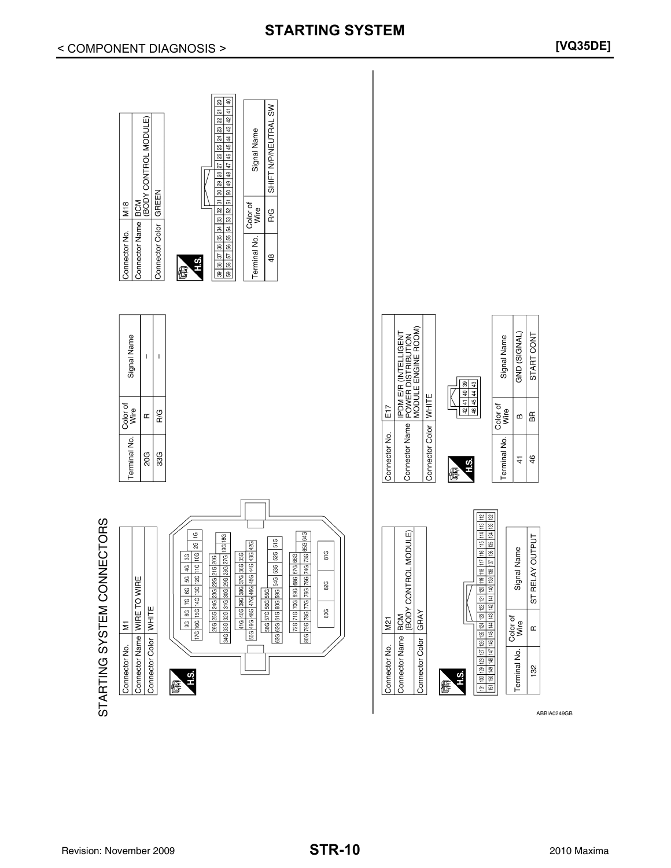

# < COMPONENT DIAGNOSIS > **[VQ35DE]**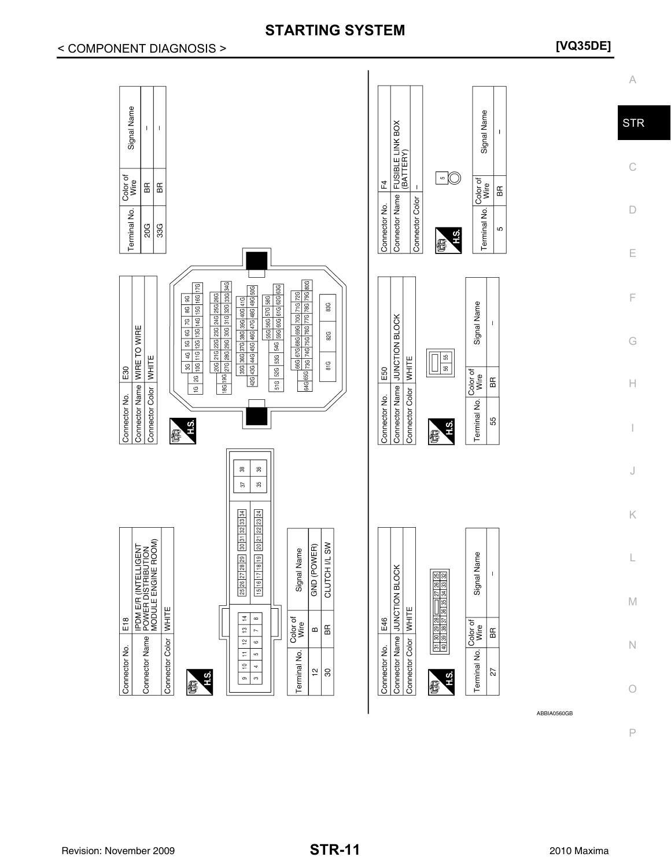![](_page_10_Figure_0.jpeg)

![](_page_10_Figure_3.jpeg)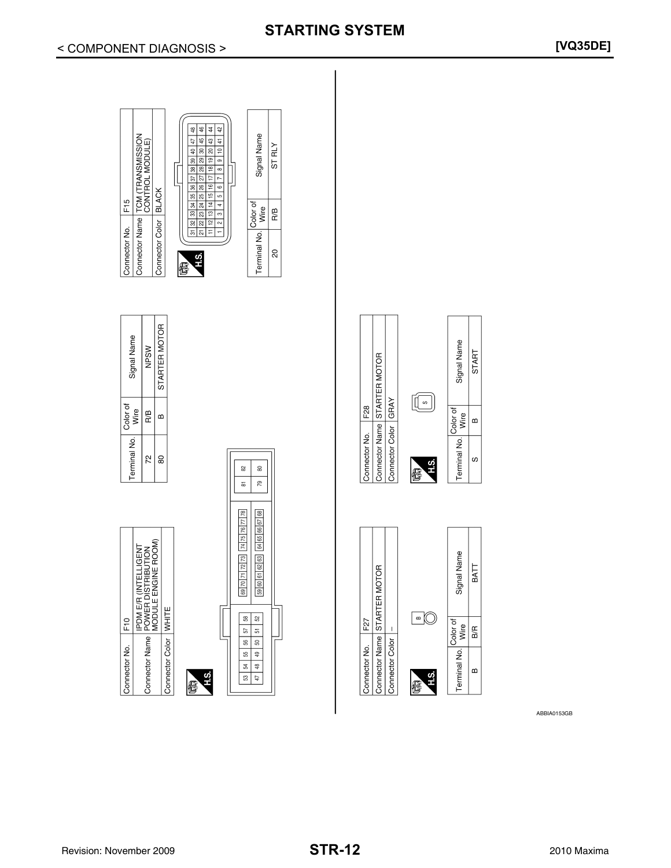![](_page_11_Figure_0.jpeg)

fis.

E

 $\begin{array}{|c|c|c|}\hline 3&4\\ \hline \end{array}$ 

![](_page_11_Figure_1.jpeg)

 $\Box$ 

**H.S.** 

信

F27

Connector No.

 $\mathbf I$ 

Connector Color

Color of

Terminal No.

|g<br>a

 $\boldsymbol{\underline{\omega}}$ 

ABBIA0153GB

# **STARTING SYSTEM**

# < COMPONENT DIAGNOSIS > **[VQ35DE]**

 $|a|$   $\frac{4}{3}$   $|a|$ 

 $\frac{1}{2}$   $\frac{1}{2}$   $\frac{1}{2}$   $\frac{1}{2}$ 

Signal Name

ST RLY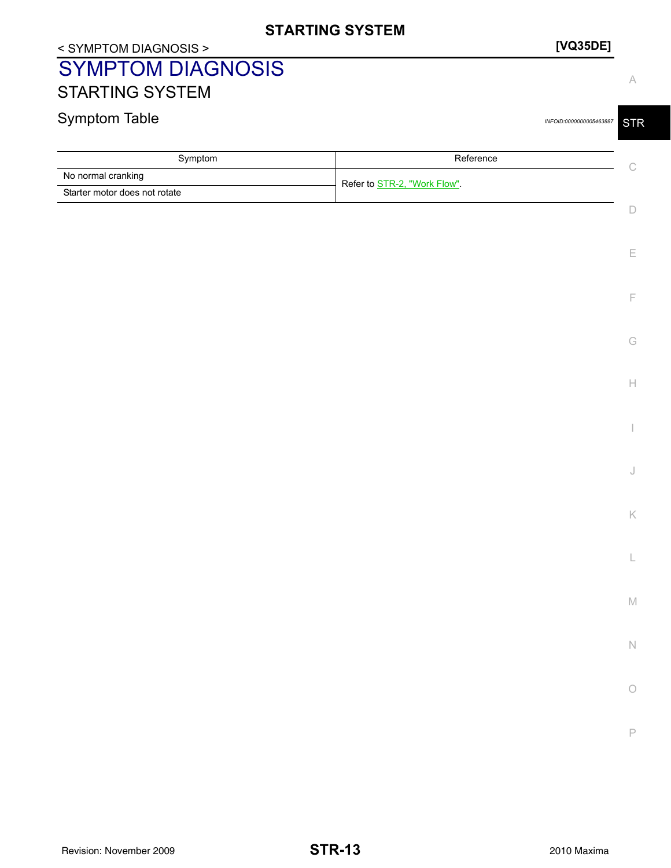# < SYMPTOM DIAGNOSIS > **[VQ35DE]**

# <span id="page-12-1"></span><span id="page-12-0"></span>SYMPTOM DIAGNOSIS STARTING SYSTEM

# <span id="page-12-2"></span>Symptom Table *INFOID:000000005463887*

**STR** 

| Symptom                       | Reference                   |  |
|-------------------------------|-----------------------------|--|
| No normal cranking            | Refer to STR-2, "Work Flow" |  |
| Starter motor does not rotate |                             |  |
|                               |                             |  |

A

E

F

G

 $\mathbb H$ 

I

J

K

L

M

N

O

P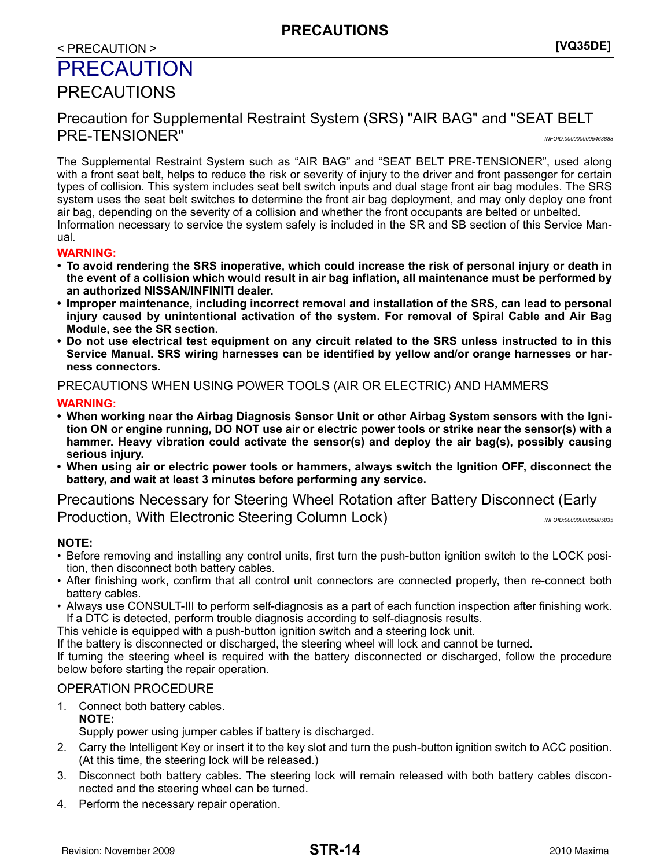# <span id="page-13-0"></span>< PRECAUTION > **[VQ35DE]** PRECAUTION

# <span id="page-13-1"></span>PRECAUTIONS

# <span id="page-13-2"></span>Precaution for Supplemental Restraint System (SRS) "AIR BAG" and "SEAT BELT PRE-TENSIONER" *INFOID:0000000005463888*

The Supplemental Restraint System such as "AIR BAG" and "SEAT BELT PRE-TENSIONER", used along with a front seat belt, helps to reduce the risk or severity of injury to the driver and front passenger for certain types of collision. This system includes seat belt switch inputs and dual stage front air bag modules. The SRS system uses the seat belt switches to determine the front air bag deployment, and may only deploy one front air bag, depending on the severity of a collision and whether the front occupants are belted or unbelted. Information necessary to service the system safely is included in the SR and SB section of this Service Man-

#### ual. **WARNING:**

- **To avoid rendering the SRS inoperative, which could increase the risk of personal injury or death in the event of a collision which would result in air bag inflation, all maintenance must be performed by an authorized NISSAN/INFINITI dealer.**
- **Improper maintenance, including incorrect removal and installation of the SRS, can lead to personal injury caused by unintentional activation of the system. For removal of Spiral Cable and Air Bag Module, see the SR section.**
- **Do not use electrical test equipment on any circuit related to the SRS unless instructed to in this Service Manual. SRS wiring harnesses can be identified by yellow and/or orange harnesses or harness connectors.**

### PRECAUTIONS WHEN USING POWER TOOLS (AIR OR ELECTRIC) AND HAMMERS

### **WARNING:**

- **When working near the Airbag Diagnosis Sensor Unit or other Airbag System sensors with the Ignition ON or engine running, DO NOT use air or electric power tools or strike near the sensor(s) with a hammer. Heavy vibration could activate the sensor(s) and deploy the air bag(s), possibly causing serious injury.**
- **When using air or electric power tools or hammers, always switch the Ignition OFF, disconnect the battery, and wait at least 3 minutes before performing any service.**

<span id="page-13-3"></span>Precautions Necessary for Steering Wheel Rotation after Battery Disconnect (Early Production, With Electronic Steering Column Lock) *INFOID:0000000005885835* 

### **NOTE:**

- Before removing and installing any control units, first turn the push-button ignition switch to the LOCK position, then disconnect both battery cables.
- After finishing work, confirm that all control unit connectors are connected properly, then re-connect both battery cables.
- Always use CONSULT-III to perform self-diagnosis as a part of each function inspection after finishing work. If a DTC is detected, perform trouble diagnosis according to self-diagnosis results.
- This vehicle is equipped with a push-button ignition switch and a steering lock unit.

If the battery is disconnected or discharged, the steering wheel will lock and cannot be turned.

If turning the steering wheel is required with the battery disconnected or discharged, follow the procedure below before starting the repair operation.

### OPERATION PROCEDURE

- 1. Connect both battery cables. **NOTE:** Supply power using jumper cables if battery is discharged.
- 2. Carry the Intelligent Key or insert it to the key slot and turn the push-button ignition switch to ACC position. (At this time, the steering lock will be released.)
- 3. Disconnect both battery cables. The steering lock will remain released with both battery cables disconnected and the steering wheel can be turned.
- 4. Perform the necessary repair operation.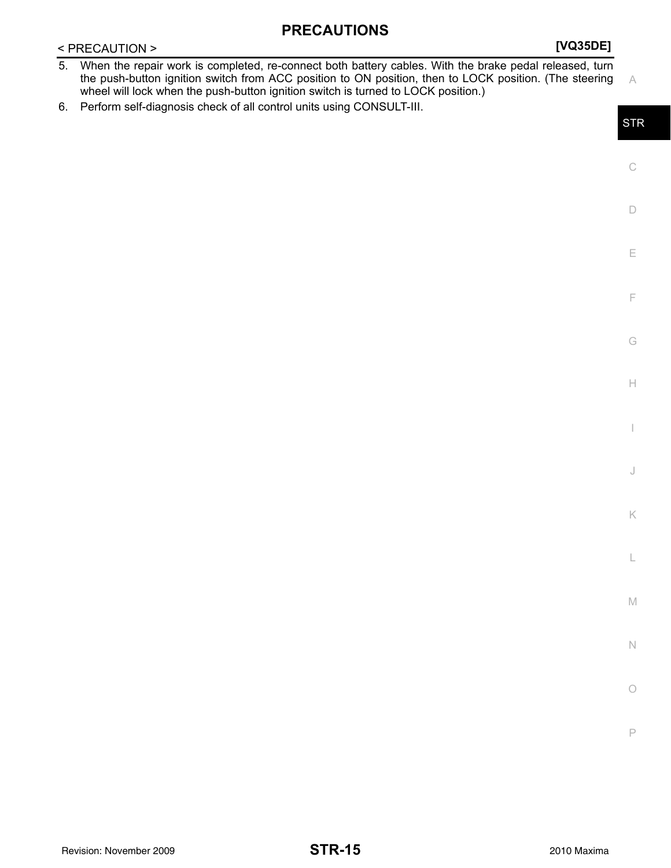# **PRECAUTIONS**

### < PRECAUTION > **[VQ35DE]**

- 5. When the repair work is completed, re-connect both battery cables. With the brake pedal released, turn the push-button ignition switch from ACC position to ON position, then to LOCK position. (The steering wheel will lock when the push-button ignition switch is turned to LOCK position.)
- 6. Perform self-diagnosis check of all control units using CONSULT-III.

A

C

 $\Box$ 

E

F

G

H

I

J

K

L

M

N

P

 $\bigcirc$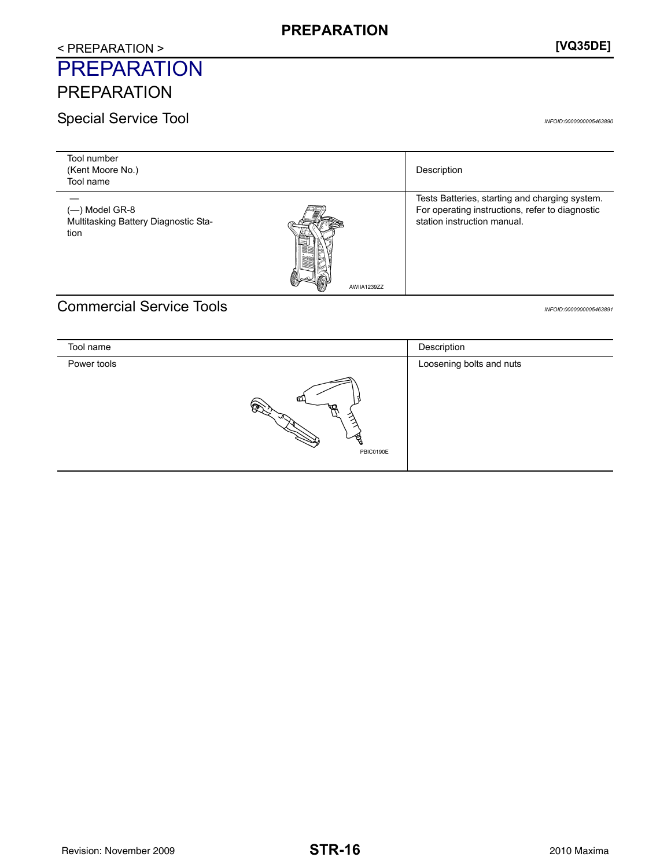# <span id="page-15-1"></span><span id="page-15-0"></span>PREPARATION

# <span id="page-15-2"></span>Special Service Tool **Integral Service Tool**

| Tool number<br>(Kent Moore No.)<br>Tool name                   |             | Description                                                                                                                      |
|----------------------------------------------------------------|-------------|----------------------------------------------------------------------------------------------------------------------------------|
| (-) Model GR-8<br>Multitasking Battery Diagnostic Sta-<br>tion | AWIIA1239ZZ | Tests Batteries, starting and charging system.<br>For operating instructions, refer to diagnostic<br>station instruction manual. |

# <span id="page-15-3"></span>Commercial Service Tools *INFOID:0000000005463891*

| Tool name   |                 | Description              |
|-------------|-----------------|--------------------------|
| Power tools |                 | Loosening bolts and nuts |
|             | កា<br>PBIC0190E |                          |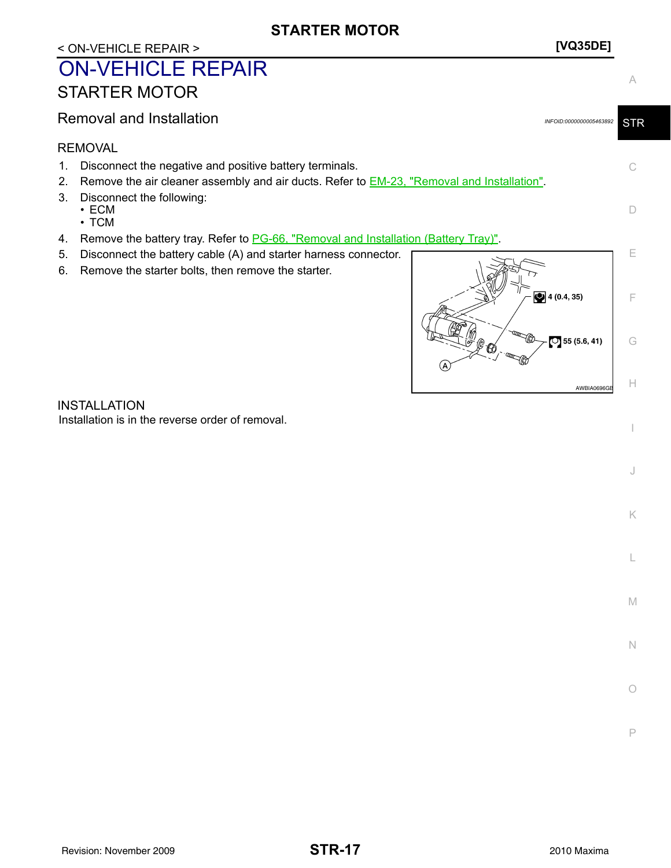# **STARTER MOTOR**

# <span id="page-16-0"></span>< ON-VEHICLE REPAIR > **[VQ35DE]** ON-VEHICLE REPAIR

# <span id="page-16-1"></span>STARTER MOTOR

<span id="page-16-2"></span>Removal and Installation *Installation INFOID:000000005463892* 

### REMOVAL

- 1. Disconnect the negative and positive battery terminals.
- 2. Remove the air cleaner assembly and air ducts. Refer to **EM-23**, "Removal and Installation".
- 3. Disconnect the following:
	- ECM
		- TCM
- 4. Remove the battery tray. Refer to PG-66, "Removal and Installation (Battery Tray)".
- 5. Disconnect the battery cable (A) and starter harness connector.
- 6. Remove the starter bolts, then remove the starter.

![](_page_16_Picture_13.jpeg)

INSTALLATION Installation is in the reverse order of removal. C

A

**STR** 

D

I

J

K

L

M

N

P

O